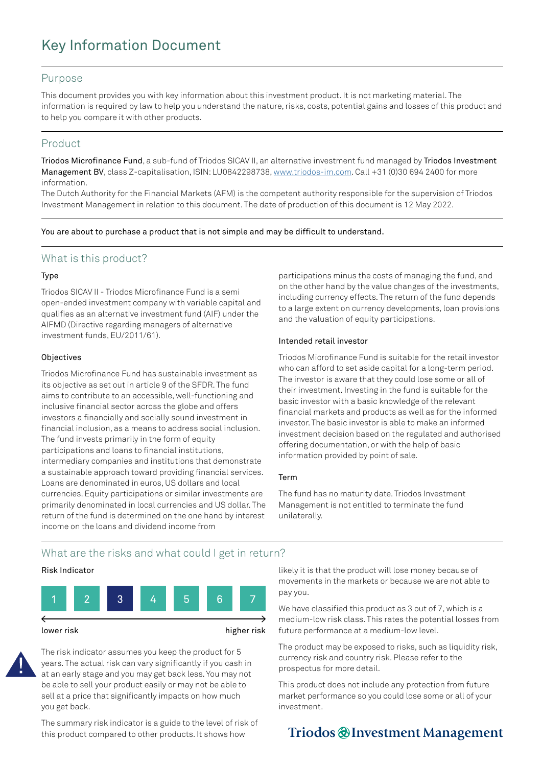# Key Information Document

#### Purpose

This document provides you with key information about this investment product. It is not marketing material. The information is required by law to help you understand the nature, risks, costs, potential gains and losses of this product and to help you compare it with other products.

### Product

Triodos Microfinance Fund, a sub-fund of Triodos SICAV II, an alternative investment fund managed by Triodos Investment Management BV, class Z-capitalisation, ISIN: LU0842298738, [www.triodos-im.com](http://www.triodos-im.com). Call +31 (0)30 694 2400 for more information.

The Dutch Authority for the Financial Markets (AFM) is the competent authority responsible for the supervision of Triodos Investment Management in relation to this document. The date of production of this document is 12 May 2022.

You are about to purchase a product that is not simple and may be difficult to understand.

### What is this product?

#### Type

Triodos SICAV II - Triodos Microfinance Fund is a semi open-ended investment company with variable capital and qualifies as an alternative investment fund (AIF) under the AIFMD (Directive regarding managers of alternative investment funds, EU/2011/61).

#### **Objectives**

Triodos Microfinance Fund has sustainable investment as its objective as set out in article 9 of the SFDR. The fund aims to contribute to an accessible, well-functioning and inclusive financial sector across the globe and offers investors a financially and socially sound investment in financial inclusion, as a means to address social inclusion. The fund invests primarily in the form of equity participations and loans to financial institutions, intermediary companies and institutions that demonstrate a sustainable approach toward providing financial services. Loans are denominated in euros, US dollars and local currencies. Equity participations or similar investments are primarily denominated in local currencies and US dollar. The return of the fund is determined on the one hand by interest income on the loans and dividend income from

participations minus the costs of managing the fund, and on the other hand by the value changes of the investments, including currency effects. The return of the fund depends to a large extent on currency developments, loan provisions and the valuation of equity participations.

#### Intended retail investor

Triodos Microfinance Fund is suitable for the retail investor who can afford to set aside capital for a long-term period. The investor is aware that they could lose some or all of their investment. Investing in the fund is suitable for the basic investor with a basic knowledge of the relevant financial markets and products as well as for the informed investor. The basic investor is able to make an informed investment decision based on the regulated and authorised offering documentation, or with the help of basic information provided by point of sale.

#### Term

The fund has no maturity date. Triodos Investment Management is not entitled to terminate the fund unilaterally.

### What are the risks and what could I get in return?

#### Risk Indicator



The risk indicator assumes you keep the product for 5 years. The actual risk can vary significantly if you cash in at an early stage and you may get back less. You may not be able to sell your product easily or may not be able to sell at a price that significantly impacts on how much you get back.

The summary risk indicator is a guide to the level of risk of this product compared to other products. It shows how

likely it is that the product will lose money because of movements in the markets or because we are not able to pay you.

We have classified this product as 3 out of 7, which is a medium-low risk class. This rates the potential losses from future performance at a medium-low level.

The product may be exposed to risks, such as liquidity risk, currency risk and country risk. Please refer to the prospectus for more detail.

This product does not include any protection from future market performance so you could lose some or all of your investment.

## Triodos @ Investment Management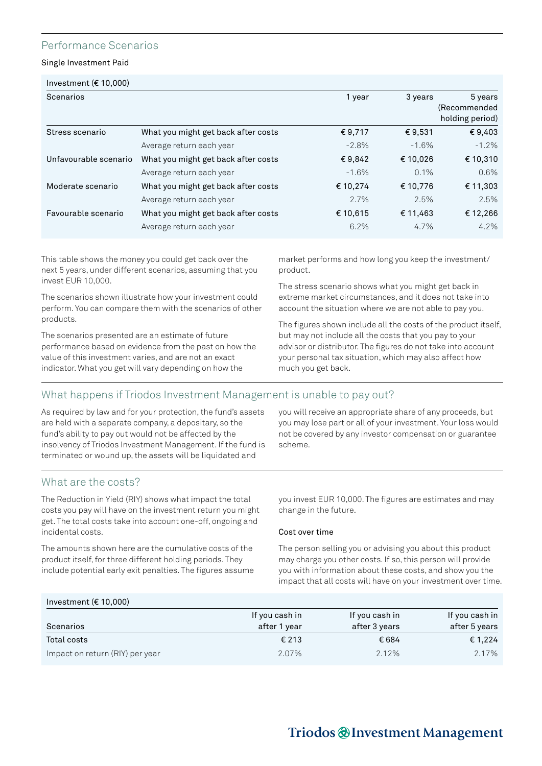### Performance Scenarios

Single Investment Paid

| Scenarios             |                                     | 1 year   | 3 years  | 5 years         |
|-----------------------|-------------------------------------|----------|----------|-----------------|
|                       |                                     |          |          | (Recommended    |
|                       |                                     |          |          | holding period) |
| Stress scenario       | What you might get back after costs | €9,717   | €9,531   | €9,403          |
|                       | Average return each year            | $-2.8%$  | $-1.6%$  | $-1.2\%$        |
| Unfavourable scenario | What you might get back after costs | €9,842   | € 10,026 | € 10,310        |
|                       | Average return each year            | $-1.6%$  | 0.1%     | 0.6%            |
| Moderate scenario     | What you might get back after costs | € 10,274 | € 10,776 | € 11,303        |
|                       | Average return each year            | 2.7%     | 2.5%     | 2.5%            |
| Favourable scenario   | What you might get back after costs | € 10,615 | € 11,463 | € 12,266        |
|                       | Average return each year            | 6.2%     | 4.7%     | $4.2\%$         |
|                       |                                     |          |          |                 |

This table shows the money you could get back over the next 5 years, under different scenarios, assuming that you invest EUR 10,000.

The scenarios shown illustrate how your investment could perform. You can compare them with the scenarios of other products.

The scenarios presented are an estimate of future performance based on evidence from the past on how the value of this investment varies, and are not an exact indicator. What you get will vary depending on how the

market performs and how long you keep the investment/ product.

The stress scenario shows what you might get back in extreme market circumstances, and it does not take into account the situation where we are not able to pay you.

The figures shown include all the costs of the product itself, but may not include all the costs that you pay to your advisor or distributor. The figures do not take into account your personal tax situation, which may also affect how much you get back.

### What happens if Triodos Investment Management is unable to pay out?

As required by law and for your protection, the fund's assets are held with a separate company, a depositary, so the fund's ability to pay out would not be affected by the insolvency of Triodos Investment Management. If the fund is terminated or wound up, the assets will be liquidated and

you will receive an appropriate share of any proceeds, but you may lose part or all of your investment. Your loss would not be covered by any investor compensation or guarantee scheme.

### What are the costs?

The Reduction in Yield (RIY) shows what impact the total costs you pay will have on the investment return you might get. The total costs take into account one-off, ongoing and incidental costs.

The amounts shown here are the cumulative costs of the product itself, for three different holding periods. They include potential early exit penalties. The figures assume you invest EUR 10,000. The figures are estimates and may change in the future.

#### Cost over time

The person selling you or advising you about this product may charge you other costs. If so, this person will provide you with information about these costs, and show you the impact that all costs will have on your investment over time.

### Investment (€ 10,000)

| Scenarios                       | If you cash in<br>after 1 year | If you cash in<br>after 3 years | If you cash in<br>after 5 years |
|---------------------------------|--------------------------------|---------------------------------|---------------------------------|
| Total costs                     | € 213                          | € 684                           | € 1.224                         |
| Impact on return (RIY) per year | 2.07%                          | 2.12%                           | 2.17%                           |